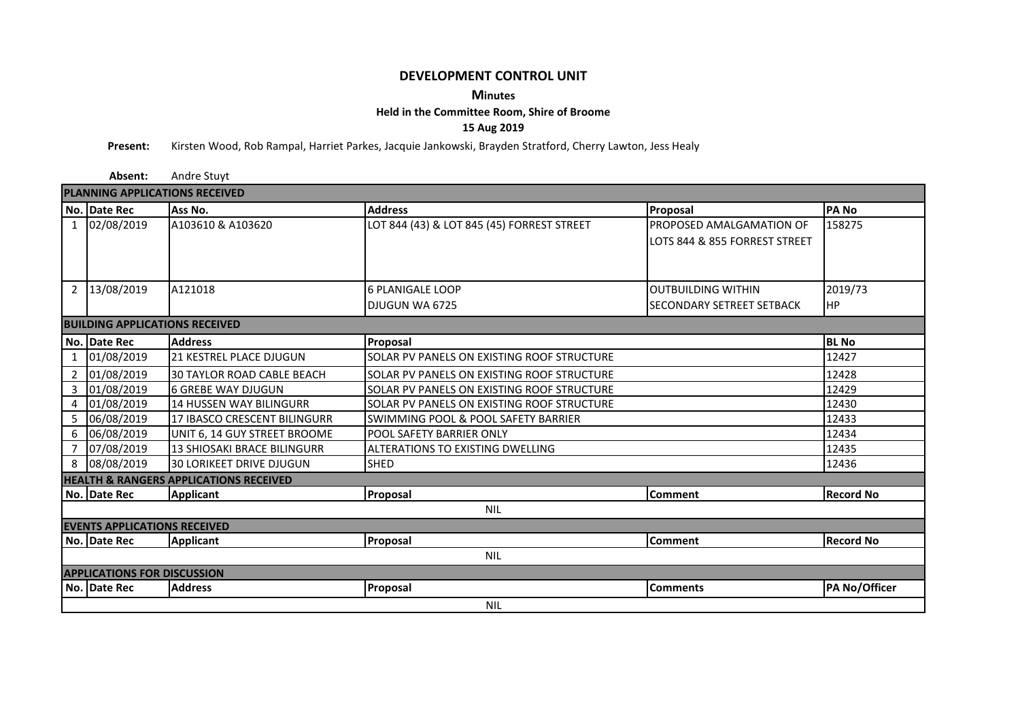## **DEVELOPMENT CONTROL UNIT**

## **Minutes**

## **Held in the Committee Room, Shire of Broome**

**15 Aug 2019**

**Present:** Kirsten Wood, Rob Rampal, Harriet Parkes, Jacquie Jankowski, Brayden Stratford, Cherry Lawton, Jess Healy

|                                       | Absent:      | Andre Stuyt                                       |                                            |                                                           |                  |  |  |  |  |  |  |  |
|---------------------------------------|--------------|---------------------------------------------------|--------------------------------------------|-----------------------------------------------------------|------------------|--|--|--|--|--|--|--|
| <b>PLANNING APPLICATIONS RECEIVED</b> |              |                                                   |                                            |                                                           |                  |  |  |  |  |  |  |  |
|                                       | No. Date Rec | Ass No.                                           | <b>Address</b>                             | Proposal                                                  | <b>PANO</b>      |  |  |  |  |  |  |  |
|                                       | 1 02/08/2019 | A103610 & A103620                                 | LOT 844 (43) & LOT 845 (45) FORREST STREET | PROPOSED AMALGAMATION OF<br>LOTS 844 & 855 FORREST STREET | 158275           |  |  |  |  |  |  |  |
|                                       | 2 13/08/2019 | A121018                                           | <b>6 PLANIGALE LOOP</b>                    | <b>OUTBUILDING WITHIN</b>                                 | 2019/73          |  |  |  |  |  |  |  |
|                                       |              |                                                   | DJUGUN WA 6725                             | <b>SECONDARY SETREET SETBACK</b>                          | <b>I</b> HP      |  |  |  |  |  |  |  |
| <b>BUILDING APPLICATIONS RECEIVED</b> |              |                                                   |                                            |                                                           |                  |  |  |  |  |  |  |  |
|                                       | No. Date Rec | <b>Address</b>                                    | Proposal                                   |                                                           | <b>BL</b> No     |  |  |  |  |  |  |  |
| $\mathbf{1}$                          | 01/08/2019   | 21 KESTREL PLACE DJUGUN                           | SOLAR PV PANELS ON EXISTING ROOF STRUCTURE |                                                           | 12427            |  |  |  |  |  |  |  |
|                                       | 2 01/08/2019 | <b>30 TAYLOR ROAD CABLE BEACH</b>                 | SOLAR PV PANELS ON EXISTING ROOF STRUCTURE |                                                           | 12428            |  |  |  |  |  |  |  |
|                                       | 3 01/08/2019 | <b>6 GREBE WAY DJUGUN</b>                         | SOLAR PV PANELS ON EXISTING ROOF STRUCTURE |                                                           | 12429            |  |  |  |  |  |  |  |
|                                       | 4 01/08/2019 | <b>14 HUSSEN WAY BILINGURR</b>                    | SOLAR PV PANELS ON EXISTING ROOF STRUCTURE |                                                           | 12430            |  |  |  |  |  |  |  |
|                                       | 5 06/08/2019 | 17 IBASCO CRESCENT BILINGURR                      | SWIMMING POOL & POOL SAFETY BARRIER        |                                                           | 12433            |  |  |  |  |  |  |  |
|                                       | 6 06/08/2019 | UNIT 6, 14 GUY STREET BROOME                      | <b>POOL SAFETY BARRIER ONLY</b>            |                                                           | 12434            |  |  |  |  |  |  |  |
|                                       | 7 07/08/2019 | 13 SHIOSAKI BRACE BILINGURR                       | <b>ALTERATIONS TO EXISTING DWELLING</b>    |                                                           | 12435            |  |  |  |  |  |  |  |
|                                       | 8 08/08/2019 | 30 LORIKEET DRIVE DJUGUN                          | <b>SHED</b>                                |                                                           | 12436            |  |  |  |  |  |  |  |
|                                       |              | <b>HEALTH &amp; RANGERS APPLICATIONS RECEIVED</b> |                                            |                                                           |                  |  |  |  |  |  |  |  |
|                                       | No. Date Rec | <b>Applicant</b>                                  | Proposal                                   | <b>Comment</b>                                            | <b>Record No</b> |  |  |  |  |  |  |  |
| <b>NIL</b>                            |              |                                                   |                                            |                                                           |                  |  |  |  |  |  |  |  |
| <b>EVENTS APPLICATIONS RECEIVED</b>   |              |                                                   |                                            |                                                           |                  |  |  |  |  |  |  |  |
|                                       | No. Date Rec | <b>Applicant</b>                                  | Proposal                                   | <b>Comment</b>                                            | <b>Record No</b> |  |  |  |  |  |  |  |
| <b>NIL</b>                            |              |                                                   |                                            |                                                           |                  |  |  |  |  |  |  |  |
| <b>APPLICATIONS FOR DISCUSSION</b>    |              |                                                   |                                            |                                                           |                  |  |  |  |  |  |  |  |
|                                       | No. Date Rec | <b>Address</b>                                    | Proposal                                   | <b>Comments</b>                                           | PA No/Officer    |  |  |  |  |  |  |  |
|                                       | <b>NIL</b>   |                                                   |                                            |                                                           |                  |  |  |  |  |  |  |  |